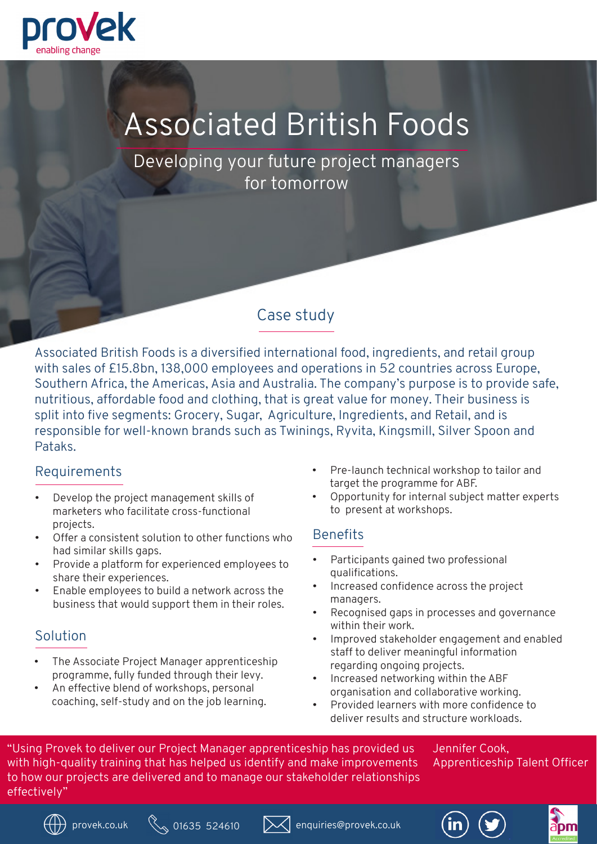

# Associated British Foods

Developing your future project managers for tomorrow

## Case study

Associated British Foods is a diversified international food, ingredients, and retail group with sales of £15.8bn, 138,000 employees and operations in 52 countries across Europe, Southern Africa, the Americas, Asia and Australia. The company's purpose is to provide safe, nutritious, affordable food and clothing, that is great value for money. Their business is split into five segments: Grocery, Sugar, Agriculture, Ingredients, and Retail, and is responsible for well-known brands such as Twinings, Ryvita, Kingsmill, Silver Spoon and Pataks.

### Requirements

- Develop the project management skills of marketers who facilitate cross-functional projects.
- Offer a consistent solution to other functions who had similar skills gaps.
- Provide a platform for experienced employees to share their experiences.
- Enable employees to build a network across the business that would support them in their roles.

### Solution

- The Associate Project Manager apprenticeship programme, fully funded through their levy.
- An effective blend of workshops, personal coaching, self-study and on the job learning.
- Pre-launch technical workshop to tailor and target the programme for ABF.
- Opportunity for internal subject matter experts to present at workshops.

### **Benefits**

- Participants gained two professional qualifications.
- Increased confidence across the project managers.
- Recognised gaps in processes and governance within their work.
- Improved stakeholder engagement and enabled staff to deliver meaningful information regarding ongoing projects.
- Increased networking within the ABF organisation and collaborative working.
- Provided learners with more confidence to deliver results and structure workloads.

"Using Provek to deliver our Project Manager apprenticeship has provided us with high-quality training that has helped us identify and make improvements to how our projects are delivered and to manage our stakeholder relationships effectively"

Jennifer Cook, Apprenticeship Talent Officer